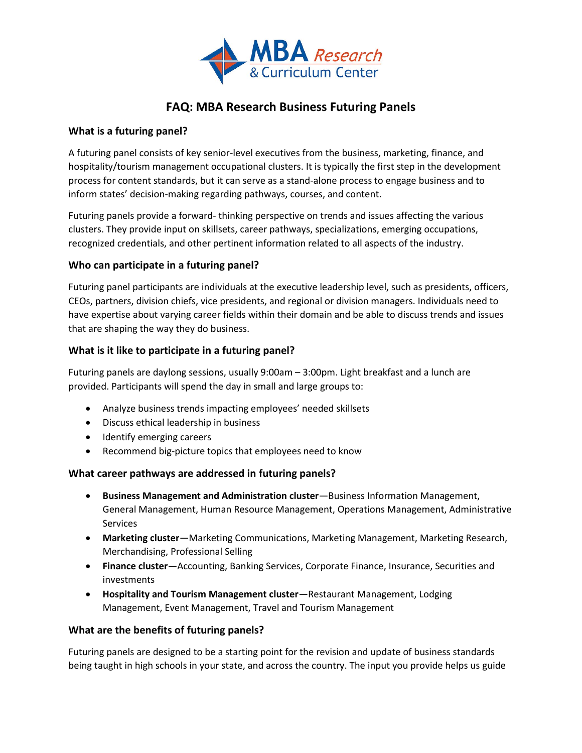

# **FAQ: MBA Research Business Futuring Panels**

#### **What is a futuring panel?**

A futuring panel consists of key senior-level executives from the business, marketing, finance, and hospitality/tourism management occupational clusters. It is typically the first step in the development process for content standards, but it can serve as a stand-alone process to engage business and to inform states' decision-making regarding pathways, courses, and content.

Futuring panels provide a forward- thinking perspective on trends and issues affecting the various clusters. They provide input on skillsets, career pathways, specializations, emerging occupations, recognized credentials, and other pertinent information related to all aspects of the industry.

## **Who can participate in a futuring panel?**

Futuring panel participants are individuals at the executive leadership level, such as presidents, officers, CEOs, partners, division chiefs, vice presidents, and regional or division managers. Individuals need to have expertise about varying career fields within their domain and be able to discuss trends and issues that are shaping the way they do business.

## **What is it like to participate in a futuring panel?**

Futuring panels are daylong sessions, usually 9:00am – 3:00pm. Light breakfast and a lunch are provided. Participants will spend the day in small and large groups to:

- Analyze business trends impacting employees' needed skillsets
- Discuss ethical leadership in business
- Identify emerging careers
- Recommend big-picture topics that employees need to know

## **What career pathways are addressed in futuring panels?**

- **Business Management and Administration cluster**—Business Information Management, General Management, Human Resource Management, Operations Management, Administrative Services
- **Marketing cluster**—Marketing Communications, Marketing Management, Marketing Research, Merchandising, Professional Selling
- **Finance cluster**—Accounting, Banking Services, Corporate Finance, Insurance, Securities and investments
- **Hospitality and Tourism Management cluster**—Restaurant Management, Lodging Management, Event Management, Travel and Tourism Management

## **What are the benefits of futuring panels?**

Futuring panels are designed to be a starting point for the revision and update of business standards being taught in high schools in your state, and across the country. The input you provide helps us guide